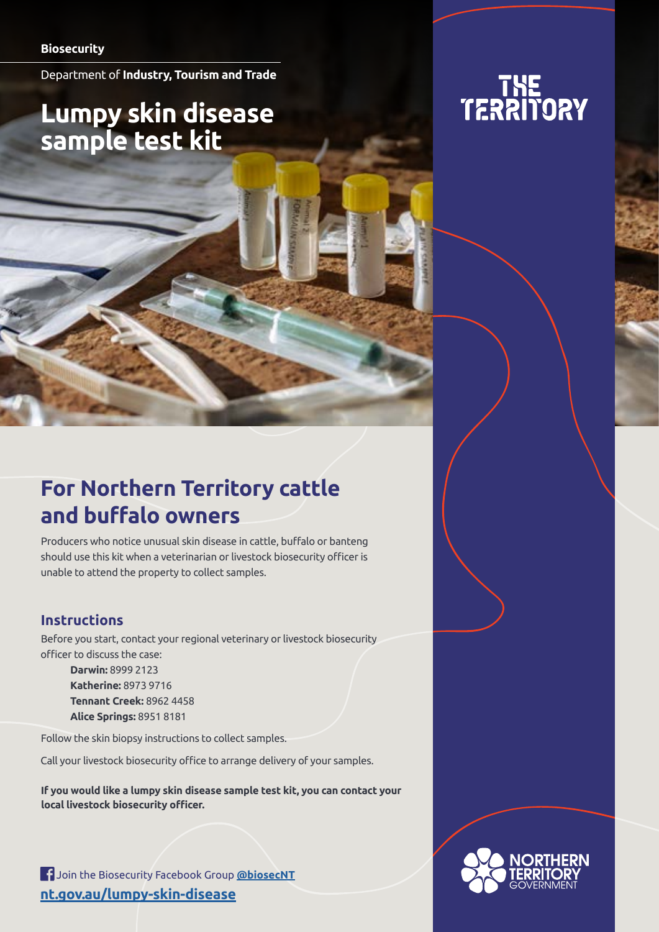Department of **Industry, Tourism and Trade**

## **Lumpy skin disease sample test kit**

# THE<br>TERRITORY

### **For Northern Territory cattle and buffalo owners**

Producers who notice unusual skin disease in cattle, buffalo or banteng should use this kit when a veterinarian or livestock biosecurity officer is unable to attend the property to collect samples.

#### **Instructions**

Before you start, contact your regional veterinary or livestock biosecurity officer to discuss the case:

**Darwin:** 8999 2123 **Katherine:** 8973 9716 **Tennant Creek:** 8962 4458 **Alice Springs:** 8951 8181

Follow the skin biopsy instructions to collect samples.

Call your livestock biosecurity office to arrange delivery of your samples.

**If you would like a lumpy skin disease sample test kit, you can contact your local livestock biosecurity officer.**

Join the Biosecurity Facebook Group **[@biosecNT](https://www.facebook.com/groups/biosecnt) [nt.gov.au/lumpy-skin-disease](http://nt.gov.au/lumpy-skin-disease)**